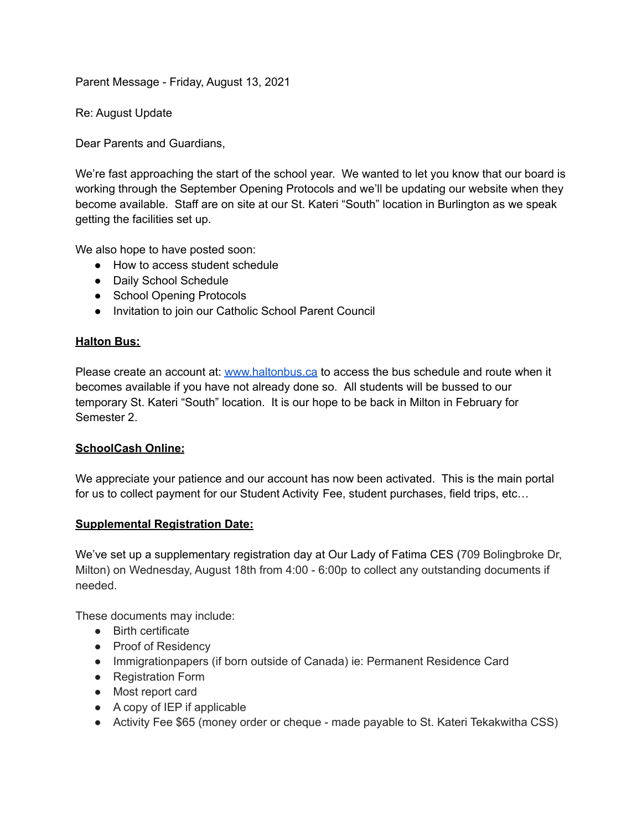Parent Message - Friday, August 13, 2021

Re: August Update

Dear Parents and Guardians,

We're fast approaching the start of the school year. We wanted to let you know that our board is working through the September Opening Protocols and we'll be updating our website when they become available. Staff are on site at our St. Kateri "South" location in Burlington as we speak getting the facilities set up.

We also hope to have posted soon:

- How to access student schedule
- Daily School Schedule
- School Opening Protocols
- Invitation to join our Catholic School Parent Council

## **Halton Bus:**

Please create an account at: [www.haltonbus.ca](http://www.haltonbus.ca) to access the bus schedule and route when it becomes available if you have not already done so. All students will be bussed to our temporary St. Kateri "South" location. It is our hope to be back in Milton in February for Semester 2.

## **SchoolCash Online:**

We appreciate your patience and our account has now been activated. This is the main portal for us to collect payment for our Student Activity Fee, student purchases, field trips, etc…

## **Supplemental Registration Date:**

We've set up a supplementary registration day at Our Lady of Fatima CES (709 Bolingbroke Dr, Milton) on Wednesday, August 18th from 4:00 - 6:00p to collect any outstanding documents if needed.

These documents may include:

- Birth certificate
- Proof of Residency
- Immigrationpapers (if born outside of Canada) ie: Permanent Residence Card
- Registration Form
- Most report card
- A copy of IEP if applicable
- Activity Fee \$65 (money order or cheque made payable to St. Kateri Tekakwitha CSS)